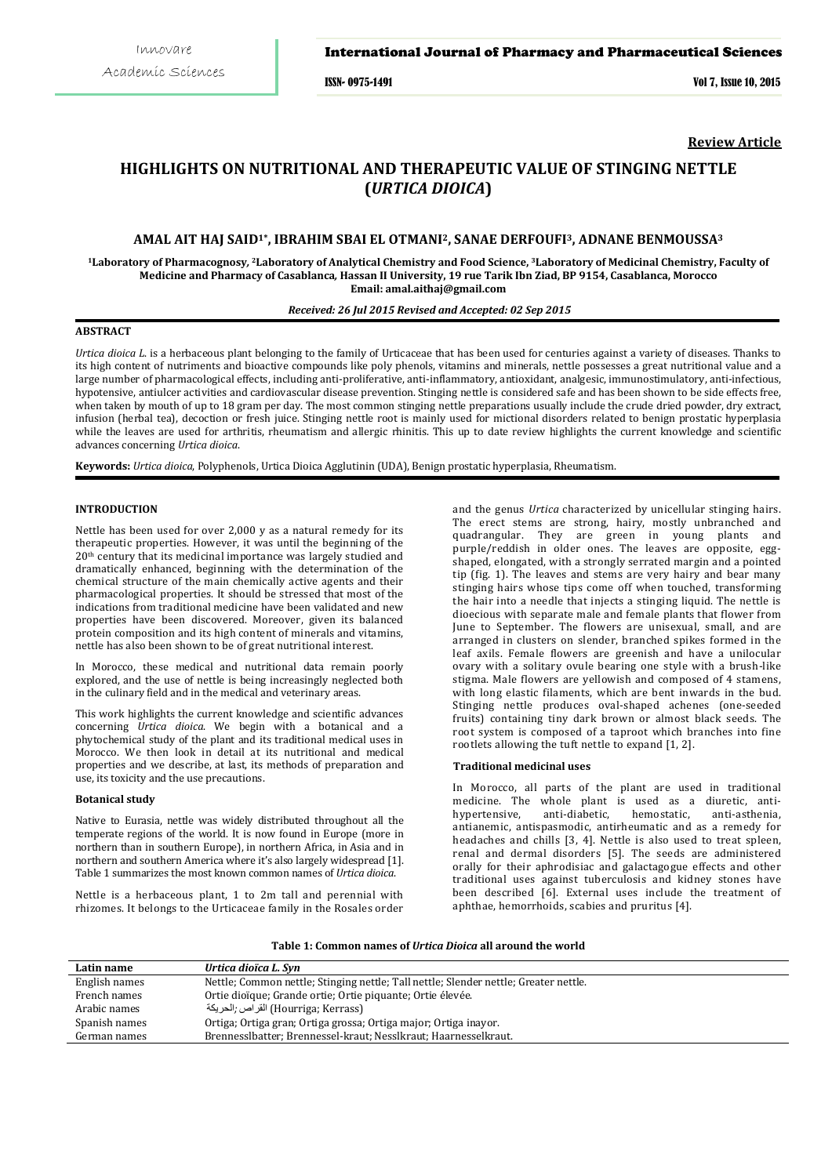## International Journal of Pharmacy and Pharmaceutical Sciences

ISSN- 0975-1491 Vol 7, Issue 10, 2015

**Review Article**

# **HIGHLIGHTS ON NUTRITIONAL AND THERAPEUTIC VALUE OF STINGING NETTLE (***URTICA DIOICA***)**

# **AMAL AIT HAJ SAID1\*, IBRAHIM SBAI EL OTMANI2, SANAE DERFOUFI3, ADNANE BENMOUSSA3**

**1Laboratory of Pharmacognosy***,* **2Laboratory of Analytical Chemistry and Food Science, 3Laboratory of Medicinal Chemistry, Faculty of Medicine and Pharmacy of Casablanca***,* **Hassan II University, 19 rue Tarik Ibn Ziad, BP 9154, Casablanca, Morocco Email: amal.aithaj@gmail.com** 

# *Received: 26 Jul 2015 Revised and Accepted: 02 Sep 2015*

## **ABSTRACT**

*Urtica dioica L*. is a herbaceous plant belonging to the family of Urticaceae that has been used for centuries against a variety of diseases. Thanks to its high content of nutriments and bioactive compounds like poly phenols, vitamins and minerals, nettle possesses a great nutritional value and a large number of pharmacological effects, including anti-proliferative, anti-inflammatory, antioxidant, analgesic, immunostimulatory, anti-infectious, hypotensive, antiulcer activities and cardiovascular disease prevention. Stinging nettle is considered safe and has been shown to be side effects free, when taken by mouth of up to 18 gram per day. The most common stinging nettle preparations usually include the crude dried powder, dry extract, infusion (herbal tea), decoction or fresh juice. Stinging nettle root is mainly used for mictional disorders related to benign prostatic hyperplasia while the leaves are used for arthritis, rheumatism and allergic rhinitis. This up to date review highlights the current knowledge and scientific advances concerning *Urtica dioica*.

**Keywords:** *Urtica dioica*, Polyphenols, Urtica Dioica Agglutinin (UDA), Benign prostatic hyperplasia, Rheumatism.

#### **INTRODUCTION**

Nettle has been used for over 2,000 y as a natural remedy for its therapeutic properties. However, it was until the beginning of the 20 th century that its medicinal importance was largely studied and dramatically enhanced, beginning with the determination of the chemical structure of the main chemically active agents and their pharmacological properties. It should be stressed that most of the indications from traditional medicine have been validated and new properties have been discovered. Moreover, given its balanced protein composition and its high content of minerals and vitamins, nettle has also been shown to be of great nutritional interest.

In Morocco, these medical and nutritional data remain poorly explored, and the use of nettle is being increasingly neglected both in the culinary field and in the medical and veterinary areas.

This work highlights the current knowledge and scientific advances concerning *Urtica dioica*. We begin with a botanical and a phytochemical study of the plant and its traditional medical uses in Morocco. We then look in detail at its nutritional and medical properties and we describe, at last, its methods of preparation and use, its toxicity and the use precautions.

## **Botanical study**

Native to Eurasia, nettle was widely distributed throughout all the temperate regions of the world. It is now found in Europe (more in northern than in southern Europe), in northern Africa, in Asia and in northern and southern America where it's also largely widespread [1]. Table 1 summarizes the most known common names of *Urtica dioica*.

Nettle is a herbaceous plant, 1 to 2m tall and perennial with rhizomes. It belongs to the Urticaceae family in the Rosales order

and the genus *Urtica* characterized by unicellular stinging hairs. The erect stems are strong, hairy, mostly unbranched and quadrangular. They are green in young plants and purple/reddish in older ones. The leaves are opposite, eggshaped, elongated, with a strongly serrated margin and a pointed tip (fig. 1). The leaves and stems are very hairy and bear many stinging hairs whose tips come off when touched, transforming the hair into a needle that injects a stinging liquid. The nettle is dioecious with separate male and female plants that flower from June to September. The flowers are unisexual, small, and are arranged in clusters on slender, branched spikes formed in the leaf axils. Female flowers are greenish and have a unilocular ovary with a solitary ovule bearing one style with a brush-like stigma. Male flowers are yellowish and composed of 4 stamens, with long elastic filaments, which are bent inwards in the bud. Stinging nettle produces oval-shaped achenes (one-seeded fruits) containing tiny dark brown or almost black seeds. The root system is composed of a taproot which branches into fine rootlets allowing the tuft nettle to expand [1, 2].

#### **Traditional medicinal uses**

In Morocco, all parts of the plant are used in traditional medicine. The whole plant is used as a diuretic, anti-hypertensive, anti-diabetic, hemostatic, anti-asthenia, anti-diabetic, antianemic, antispasmodic, antirheumatic and as a remedy for headaches and chills [3, 4]. Nettle is also used to treat spleen, renal and dermal disorders [5]. The seeds are administered orally for their aphrodisiac and galactagogue effects and other traditional uses against tuberculosis and kidney stones have been described [6]. External uses include the treatment of aphthae, hemorrhoids, scabies and pruritus [4].

**Table 1: Common names of** *Urtica Dioica* **all around the world**

| Latin name    | Urtica dioïca L. Syn                                                                 |
|---------------|--------------------------------------------------------------------------------------|
| English names | Nettle; Common nettle; Stinging nettle; Tall nettle; Slender nettle; Greater nettle. |
| French names  | Ortie dioïque; Grande ortie; Ortie piquante; Ortie élevée.                           |
| Arabic names  | (Hourriga; Kerrass) القر اص ;الحريكة                                                 |
| Spanish names | Ortiga; Ortiga gran; Ortiga grossa; Ortiga major; Ortiga inayor.                     |
| German names  | Brennesslbatter; Brennessel-kraut; Nesslkraut; Haarnesselkraut.                      |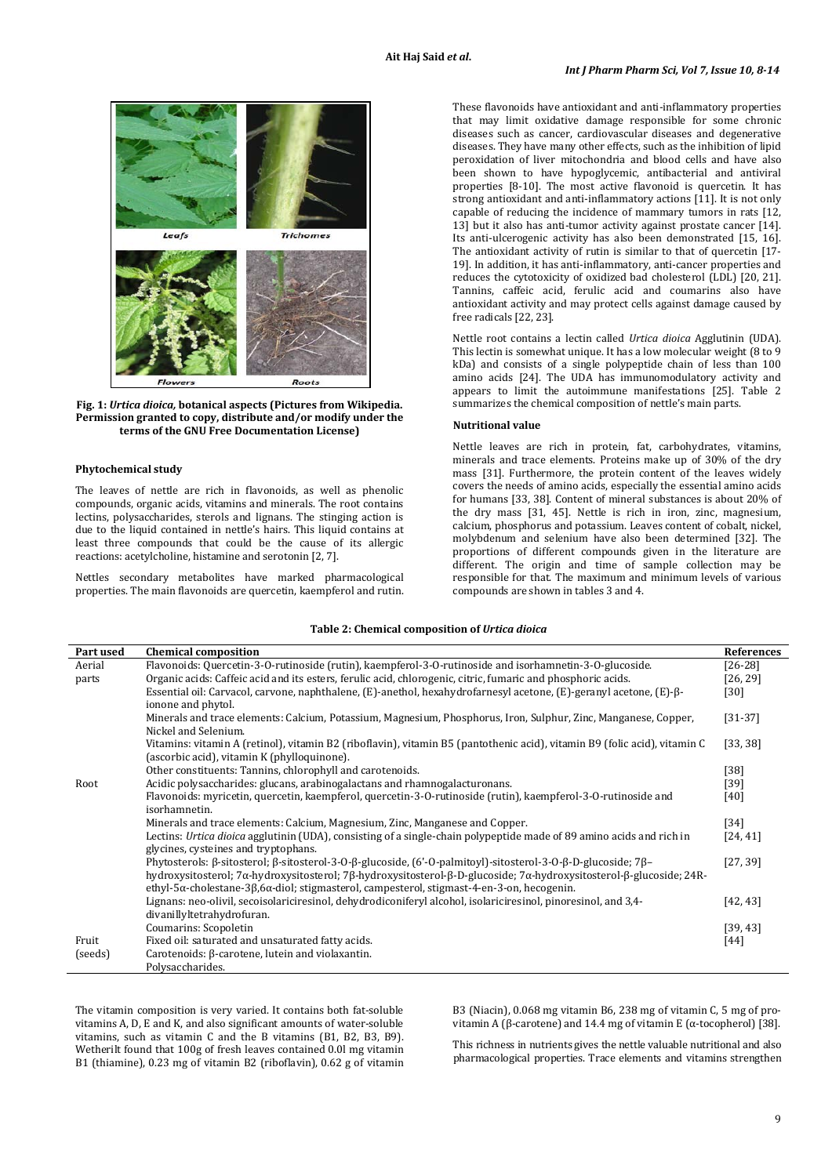

**Fig. 1:** *Urtica dioica,* **botanical aspects (Pictures from Wikipedia. Permission granted to copy, distribute and/or modify under the terms of the GNU Free Documentation License)**

#### **Phytochemical study**

The leaves of nettle are rich in flavonoids, as well as phenolic compounds, organic acids, vitamins and minerals. The root contains lectins, polysaccharides, sterols and lignans. The stinging action is due to the liquid contained in nettle's hairs. This liquid contains at least three compounds that could be the cause of its allergic reactions: acetylcholine, histamine and serotonin [2, 7].

Nettles secondary metabolites have marked pharmacological properties. The main flavonoids are quercetin, kaempferol and rutin. These flavonoids have antioxidant and anti-inflammatory properties that may limit oxidative damage responsible for some chronic diseases such as cancer, cardiovascular diseases and degenerative diseases. They have many other effects, such as the inhibition of lipid peroxidation of liver mitochondria and blood cells and have also been shown to have hypoglycemic, antibacterial and antiviral properties [8-10]. The most active flavonoid is quercetin. It has strong antioxidant and anti-inflammatory actions [11]. It is not only capable of reducing the incidence of mammary tumors in rats [12, 13] but it also has anti-tumor activity against prostate cancer [14]. Its anti-ulcerogenic activity has also been demonstrated [15, 16]. The antioxidant activity of rutin is similar to that of quercetin [17-19]. In addition, it has anti-inflammatory, anti-cancer properties and reduces the cytotoxicity of oxidized bad cholesterol (LDL) [20, 21]. Tannins, caffeic acid, ferulic acid and coumarins also have antioxidant activity and may protect cells against damage caused by free radicals [22, 23].

Nettle root contains a lectin called *Urtica dioica* Agglutinin (UDA). This lectin is somewhat unique. It has a low molecular weight (8 to 9 kDa) and consists of a single polypeptide chain of less than 100 amino acids [24]. The UDA has immunomodulatory activity and appears to limit the autoimmune manifestations [25]. Table 2 summarizes the chemical composition of nettle's main parts.

#### **Nutritional value**

Nettle leaves are rich in protein, fat, carbohydrates, vitamins, minerals and trace elements. Proteins make up of 30% of the dry mass [31]. Furthermore, the protein content of the leaves widely covers the needs of amino acids, especially the essential amino acids for humans [33, 38]. Content of mineral substances is about 20% of the dry mass [31, 45]. Nettle is rich in iron, zinc, magnesium, calcium, phosphorus and potassium. Leaves content of cobalt, nickel, molybdenum and selenium have also been determined [32]. The proportions of different compounds given in the literature are different. The origin and time of sample collection may be responsible for that. The maximum and minimum levels of various compounds are shown in tables 3 and 4.

#### **Table 2: Chemical composition of** *Urtica dioica*

| Part used | <b>Chemical composition</b>                                                                                                                       | <b>References</b> |
|-----------|---------------------------------------------------------------------------------------------------------------------------------------------------|-------------------|
| Aerial    | Flavonoids: Quercetin-3-O-rutinoside (rutin), kaempferol-3-O-rutinoside and isorhamnetin-3-O-glucoside.                                           | $[26-28]$         |
| parts     | Organic acids: Caffeic acid and its esters, ferulic acid, chlorogenic, citric, fumaric and phosphoric acids.                                      | [26, 29]          |
|           | Essential oil: Carvacol, carvone, naphthalene, $(E)$ -anethol, hexahydrofarnesyl acetone, $(E)$ -geranyl acetone, $(E)$ - $\beta$ -               | $[30]$            |
|           | ionone and phytol.                                                                                                                                |                   |
|           | Minerals and trace elements: Calcium, Potassium, Magnesium, Phosphorus, Iron, Sulphur, Zinc, Manganese, Copper,                                   | $[31-37]$         |
|           | Nickel and Selenium.                                                                                                                              |                   |
|           | Vitamins: vitamin A (retinol), vitamin B2 (riboflavin), vitamin B5 (pantothenic acid), vitamin B9 (folic acid), vitamin C                         | [33, 38]          |
|           | (ascorbic acid), vitamin K (phylloquinone).                                                                                                       |                   |
|           | Other constituents: Tannins, chlorophyll and carotenoids.                                                                                         | $[38]$            |
| Root      | Acidic polysaccharides: glucans, arabinogalactans and rhamnogalacturonans.                                                                        | $[39]$            |
|           | Flavonoids: myricetin, quercetin, kaempferol, quercetin-3-O-rutinoside (rutin), kaempferol-3-O-rutinoside and                                     | $[40]$            |
|           | isorhamnetin.                                                                                                                                     |                   |
|           | Minerals and trace elements: Calcium, Magnesium, Zinc, Manganese and Copper.                                                                      | $\left[34\right]$ |
|           | Lectins: Urtica dioica agglutinin (UDA), consisting of a single-chain polypeptide made of 89 amino acids and rich in                              | [24, 41]          |
|           | glycines, cysteines and tryptophans.                                                                                                              |                   |
|           | Phytosterols: $\beta$ -sitosterol; $\beta$ -sitosterol-3-O- $\beta$ -glucoside, (6'-O-palmitoyl)-sitosterol-3-O- $\beta$ -D-glucoside; $7\beta$ - | [27, 39]          |
|           | hydroxysitosterol; 7α-hydroxysitosterol; 7β-hydroxysitosterol-β-D-glucoside; 7α-hydroxysitosterol-β-glucoside; 24R-                               |                   |
|           | ethyl-5 $\alpha$ -cholestane-3 $\beta$ ,6 $\alpha$ -diol; stigmasterol, campesterol, stigmast-4-en-3-on, hecogenin.                               |                   |
|           | Lignans: neo-olivil, secoisolariciresinol, dehydrodiconiferyl alcohol, isolariciresinol, pinoresinol, and 3,4-                                    | [42, 43]          |
|           | divanillyltetrahydrofuran.                                                                                                                        |                   |
|           | Coumarins: Scopoletin                                                                                                                             | [39, 43]          |
| Fruit     | Fixed oil: saturated and unsaturated fatty acids.                                                                                                 | $[44]$            |
| (seeds)   | Carotenoids: β-carotene, lutein and violaxantin.                                                                                                  |                   |
|           | Polysaccharides.                                                                                                                                  |                   |

The vitamin composition is very varied. It contains both fat-soluble vitamins A, D, E and K, and also significant amounts of water-soluble vitamins, such as vitamin C and the B vitamins (B1, B2, B3, B9). Wetherilt found that 100g of fresh leaves contained 0.0l mg vitamin B1 (thiamine), 0.23 mg of vitamin B2 (riboflavin), 0.62 g of vitamin B3 (Niacin), 0.068 mg vitamin B6, 238 mg of vitamin C, 5 mg of provitamin A (β-carotene) and 14.4 mg of vitamin E (α-tocopherol) [38].

This richness in nutrients gives the nettle valuable nutritional and also pharmacological properties. Trace elements and vitamins strengthen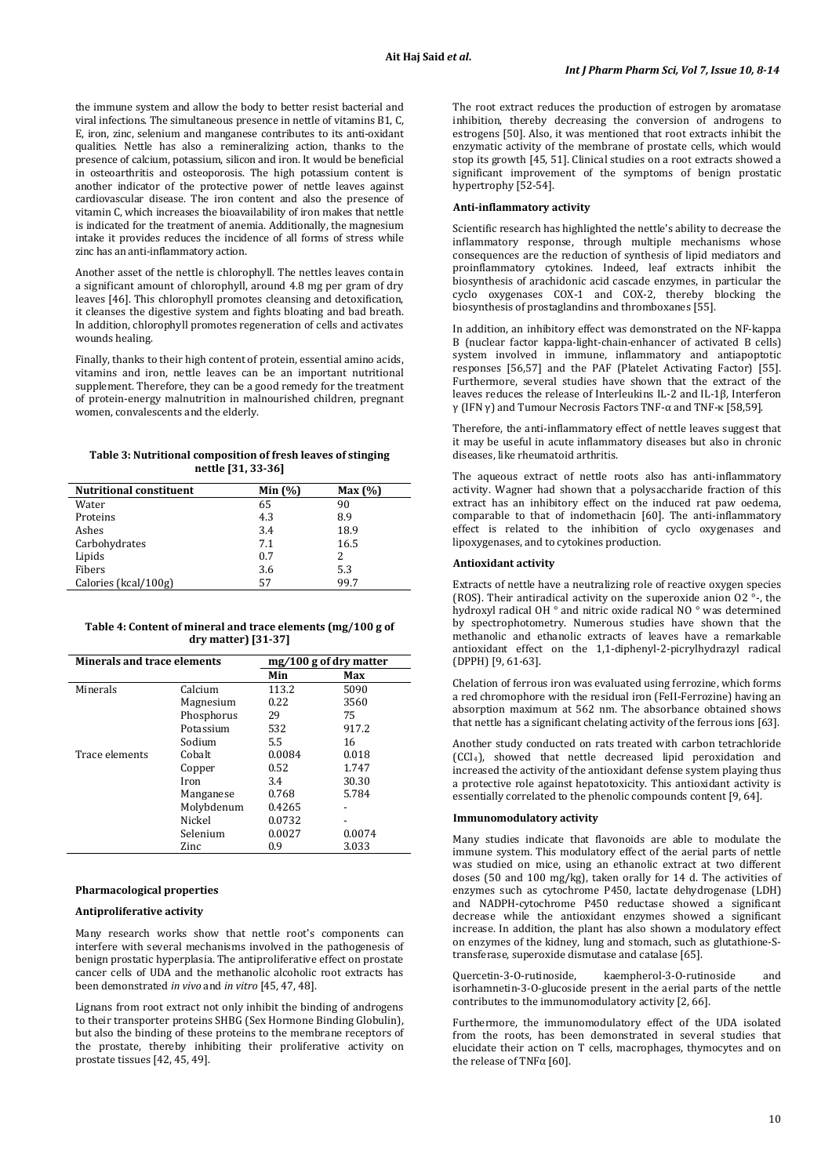the immune system and allow the body to better resist bacterial and viral infections. The simultaneous presence in nettle of vitamins B1, C, E, iron, zinc, selenium and manganese contributes to its anti-oxidant qualities. Nettle has also a remineralizing action, thanks to the presence of calcium, potassium, silicon and iron. It would be beneficial in osteoarthritis and osteoporosis. The high potassium content is another indicator of the protective power of nettle leaves against cardiovascular disease. The iron content and also the presence of vitamin C, which increases the bioavailability of iron makes that nettle is indicated for the treatment of anemia. Additionally, the magnesium intake it provides reduces the incidence of all forms of stress while zinc has an anti-inflammatory action.

Another asset of the nettle is chlorophyll. The nettles leaves contain a significant amount of chlorophyll, around 4.8 mg per gram of dry leaves [46]. This chlorophyll promotes cleansing and detoxification, it cleanses the digestive system and fights bloating and bad breath. In addition, chlorophyll promotes regeneration of cells and activates wounds healing.

Finally, thanks to their high content of protein, essential amino acids, vitamins and iron, nettle leaves can be an important nutritional supplement. Therefore, they can be a good remedy for the treatment of protein-energy malnutrition in malnourished children, pregnant women, convalescents and the elderly.

## **Table 3: Nutritional composition of fresh leaves of stinging nettle [31, 33-36]**

| <b>Nutritional constituent</b> | Min $(%)$ | Max(%) |  |
|--------------------------------|-----------|--------|--|
| Water                          | 65        | 90     |  |
| Proteins                       | 4.3       | 8.9    |  |
| Ashes                          | 3.4       | 18.9   |  |
| Carbohydrates                  | 7.1       | 16.5   |  |
| Lipids                         | 0.7       | 2      |  |
| Fibers                         | 3.6       | 5.3    |  |
| Calories (kcal/100g)           | 57        | 99.7   |  |
|                                |           |        |  |

**Table 4: Content of mineral and trace elements (mg/100 g of dry matter) [31-37]**

| Minerals and trace elements |            | $mg/100$ g of dry matter |                          |
|-----------------------------|------------|--------------------------|--------------------------|
|                             |            | Min                      | Max                      |
| Minerals                    | Calcium    | 113.2                    | 5090                     |
|                             | Magnesium  | 0.22                     | 3560                     |
|                             | Phosphorus | 29                       | 75                       |
|                             | Potassium  | 532                      | 917.2                    |
|                             | Sodium     | 5.5                      | 16                       |
| Trace elements              | Cobalt     | 0.0084                   | 0.018                    |
|                             | Copper     | 0.52                     | 1.747                    |
|                             | Iron       | 3.4                      | 30.30                    |
|                             | Manganese  | 0.768                    | 5.784                    |
|                             | Molybdenum | 0.4265                   |                          |
|                             | Nickel     | 0.0732                   | $\overline{\phantom{0}}$ |
|                             | Selenium   | 0.0027                   | 0.0074                   |
|                             | Zinc       | 0.9                      | 3.033                    |

#### **Pharmacological properties**

## **Antiproliferative activity**

Many research works show that nettle root's components can interfere with several mechanisms involved in the pathogenesis of benign prostatic hyperplasia. The antiproliferative effect on prostate cancer cells of UDA and the methanolic alcoholic root extracts has been demonstrated *in vivo* and *in vitro* [45, 47, 48].

Lignans from root extract not only inhibit the binding of androgens to their transporter proteins SHBG (Sex Hormone Binding Globulin), but also the binding of these proteins to the membrane receptors of the prostate, thereby inhibiting their proliferative activity on prostate tissues [42, 45, 49].

The root extract reduces the production of estrogen by aromatase inhibition, thereby decreasing the conversion of androgens to estrogens [50]. Also, it was mentioned that root extracts inhibit the enzymatic activity of the membrane of prostate cells, which would stop its growth [45, 51]. Clinical studies on a root extracts showed a significant improvement of the symptoms of benign prostatic hypertrophy [52-54].

## **Anti-inflammatory activity**

Scientific research has highlighted the nettle's ability to decrease the inflammatory response, through multiple mechanisms whose consequences are the reduction of synthesis of lipid mediators and proinflammatory cytokines. Indeed, leaf extracts inhibit the biosynthesis of arachidonic acid cascade enzymes, in particular the cyclo oxygenases COX-1 and COX-2, thereby blocking the biosynthesis of prostaglandins and thromboxanes [55].

In addition, an inhibitory effect was demonstrated on the NF-kappa B (nuclear factor kappa-light-chain-enhancer of activated B cells) system involved in immune, inflammatory and antiapoptotic responses [56,57] and the PAF (Platelet Activating Factor) [55]. Furthermore, several studies have shown that the extract of the leaves reduces the release of Interleukins IL-2 and IL-1β, Interferon γ (IFN γ) and Tumour Necrosis Factors TNF-α and TNF-κ [58,59].

Therefore, the anti-inflammatory effect of nettle leaves suggest that it may be useful in acute inflammatory diseases but also in chronic diseases, like rheumatoid arthritis.

The aqueous extract of nettle roots also has anti-inflammatory activity. Wagner had shown that a polysaccharide fraction of this extract has an inhibitory effect on the induced rat paw oedema. comparable to that of indomethacin [60]. The anti-inflammatory effect is related to the inhibition of cyclo oxygenases and lipoxygenases, and to cytokines production.

## **Antioxidant activity**

Extracts of nettle have a neutralizing role of reactive oxygen species (ROS). Their antiradical activity on the superoxide anion O2 °-, the hydroxyl radical OH ° and nitric oxide radical NO ° was determined by spectrophotometry. Numerous studies have shown that the methanolic and ethanolic extracts of leaves have a remarkable antioxidant effect on the 1,1-diphenyl-2-picrylhydrazyl radical (DPPH) [9, 61-63].

Chelation of ferrous iron was evaluated using ferrozine, which forms a red chromophore with the residual iron (FeII-Ferrozine) having an absorption maximum at 562 nm. The absorbance obtained shows that nettle has a significant chelating activity of the ferrous ions [63].

Another study conducted on rats treated with carbon tetrachloride (CCl4 ), showed that nettle decreased lipid peroxidation and increased the activity of the antioxidant defense system playing thus a protective role against hepatotoxicity. This antioxidant activity is essentially correlated to the phenolic compounds content [9, 64].

#### **Immunomodulatory activity**

Many studies indicate that flavonoids are able to modulate the immune system. This modulatory effect of the aerial parts of nettle was studied on mice, using an ethanolic extract at two different doses (50 and 100 mg/kg), taken orally for 14 d. The activities of enzymes such as cytochrome P450, lactate dehydrogenase (LDH) and NADPH-cytochrome P450 reductase showed a significant decrease while the antioxidant enzymes showed a significant increase. In addition, the plant has also shown a modulatory effect on enzymes of the kidney, lung and stomach, such as glutathione-Stransferase, superoxide dismutase and catalase [65].

Quercetin-3-O-rutinoside, kaempherol-3-O-rutinoside and isorhamnetin-3-O-glucoside present in the aerial parts of the nettle contributes to the immunomodulatory activity [2, 66].

Furthermore, the immunomodulatory effect of the UDA isolated from the roots, has been demonstrated in several studies that elucidate their action on T cells, macrophages, thymocytes and on the release of TNF $\alpha$  [60].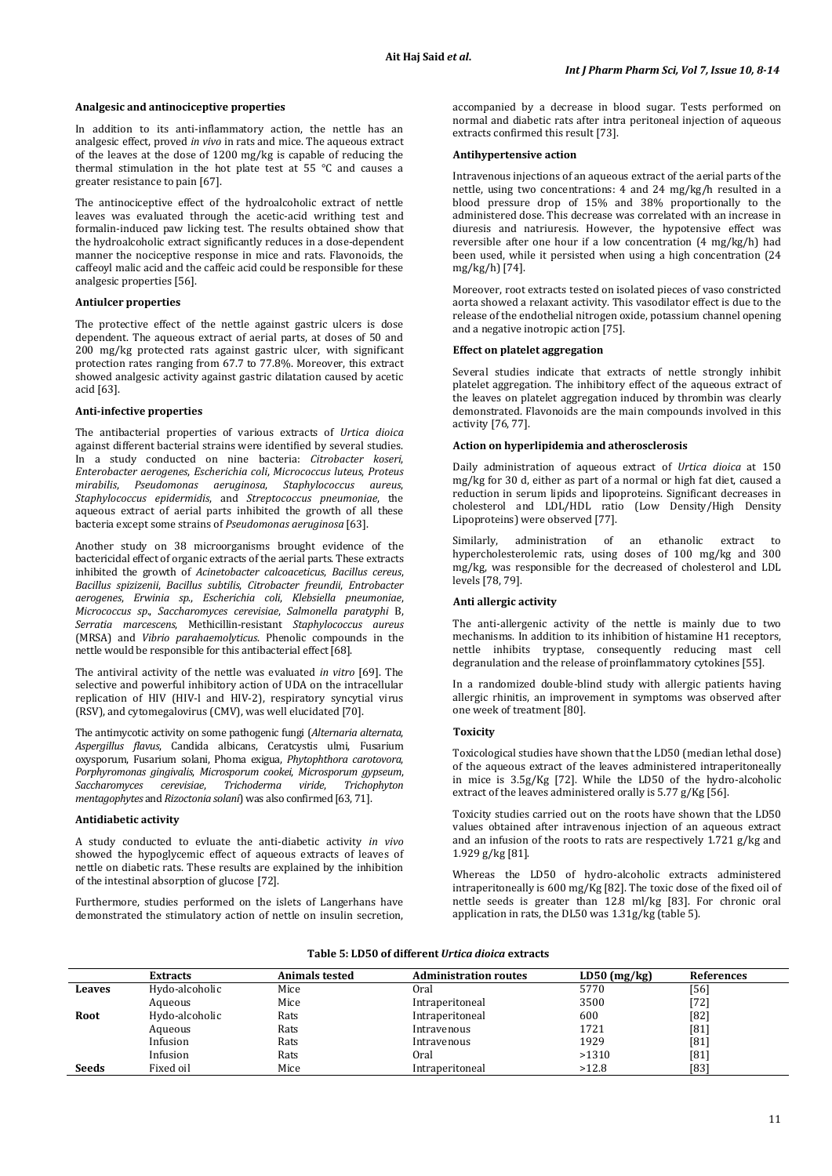#### **Analgesic and antinociceptive properties**

In addition to its anti-inflammatory action, the nettle has an analgesic effect, proved *in vivo* in rats and mice. The aqueous extract of the leaves at the dose of 1200 mg/kg is capable of reducing the thermal stimulation in the hot plate test at 55 °C and causes a greater resistance to pain [67].

The antinociceptive effect of the hydroalcoholic extract of nettle leaves was evaluated through the acetic-acid writhing test and formalin-induced paw licking test. The results obtained show that the hydroalcoholic extract significantly reduces in a dose-dependent manner the nociceptive response in mice and rats. Flavonoids, the caffeoyl malic acid and the caffeic acid could be responsible for these analgesic properties [56].

#### **Antiulcer properties**

The protective effect of the nettle against gastric ulcers is dose dependent. The aqueous extract of aerial parts, at doses of 50 and 200 mg/kg protected rats against gastric ulcer, with significant protection rates ranging from 67.7 to 77.8%. Moreover, this extract showed analgesic activity against gastric dilatation caused by acetic acid [63].

#### **Anti-infective properties**

The antibacterial properties of various extracts of *Urtica dioica* against different bacterial strains were identified by several studies. In a study conducted on nine bacteria: *Citrobacter koseri*, *Enterobacter aerogenes*, *Escherichia coli*, *Micrococcus luteus*, *Proteus mirabilis*, *Pseudomonas aeruginosa*, *Staphylococcus aureus*, *Staphylococcus epidermidis*, and *Streptococcus pneumoniae*, the aqueous extract of aerial parts inhibited the growth of all these bacteria except some strains of *Pseudomonas aeruginosa* [63].

Another study on 38 microorganisms brought evidence of the bactericidal effect of organic extracts of the aerial parts. These extracts inhibited the growth of *Acinetobacter calcoaceticus*, *Bacillus cereus*, *Bacillus spizizenii*, *Bacillus subtilis*, *Citrobacter freundii*, *Entrobacter aerogenes*, *Erwinia sp*., *Escherichia coli*, *Klebsiella pneumoniae*, *Micrococcus sp*., *Saccharomyces cerevisiae*, *Salmonella paratyphi* B, *Serratia marcescens*, Methicillin-resistant *Staphylococcus aureus* (MRSA) and *Vibrio parahaemolyticus*. Phenolic compounds in the nettle would be responsible for this antibacterial effect [68].

The antiviral activity of the nettle was evaluated *in vitro* [69]. The selective and powerful inhibitory action of UDA on the intracellular replication of HIV (HIV-l and HIV-2), respiratory syncytial virus (RSV), and cytomegalovirus (CMV), was well elucidated [70].

The antimycotic activity on some pathogenic fungi (*Alternaria alternata*, *Aspergillus flavus*, Candida albicans, Ceratcystis ulmi, Fusarium oxysporum, Fusarium solani, Phoma exigua, *Phytophthora carotovora*, *Porphyromonas gingivalis*, *Microsporum cookei*, *Microsporum gypseum*, *Saccharomyces cerevisiae*, *Trichoderma viride*, *Trichophyton mentagophytes* and *Rizoctonia solani*) was also confirmed [63, 71].

#### **Antidiabetic activity**

A study conducted to evluate the anti-diabetic activity *in vivo* showed the hypoglycemic effect of aqueous extracts of leaves of nettle on diabetic rats. These results are explained by the inhibition of the intestinal absorption of glucose [72].

Furthermore, studies performed on the islets of Langerhans have demonstrated the stimulatory action of nettle on insulin secretion, accompanied by a decrease in blood sugar. Tests performed on normal and diabetic rats after intra peritoneal injection of aqueous extracts confirmed this result [73].

#### **Antihypertensive action**

Intravenous injections of an aqueous extract of the aerial parts of the nettle, using two concentrations: 4 and 24 mg/kg/h resulted in a blood pressure drop of 15% and 38% proportionally to the administered dose. This decrease was correlated with an increase in diuresis and natriuresis. However, the hypotensive effect was reversible after one hour if a low concentration (4 mg/kg/h) had been used, while it persisted when using a high concentration (24 mg/kg/h) [74].

Moreover, root extracts tested on isolated pieces of vaso constricted aorta showed a relaxant activity. This vasodilator effect is due to the release of the endothelial nitrogen oxide, potassium channel opening and a negative inotropic action [75].

#### **Effect on platelet aggregation**

Several studies indicate that extracts of nettle strongly inhibit platelet aggregation. The inhibitory effect of the aqueous extract of the leaves on platelet aggregation induced by thrombin was clearly demonstrated. Flavonoids are the main compounds involved in this activity [76, 77].

#### **Action on hyperlipidemia and atherosclerosis**

Daily administration of aqueous extract of *Urtica dioica* at 150 mg/kg for 30 d, either as part of a normal or high fat diet, caused a reduction in serum lipids and lipoproteins. Significant decreases in cholesterol and LDL/HDL ratio (Low Density/High Density Lipoproteins) were observed [77].

Similarly, administration of an ethanolic extract to hypercholesterolemic rats, using doses of 100 mg/kg and 300 mg/kg, was responsible for the decreased of cholesterol and LDL levels [78, 79].

## **Anti allergic activity**

The anti-allergenic activity of the nettle is mainly due to two mechanisms. In addition to its inhibition of histamine H1 receptors, nettle inhibits tryptase, consequently reducing mast cell degranulation and the release of proinflammatory cytokines [55].

In a randomized double-blind study with allergic patients having allergic rhinitis, an improvement in symptoms was observed after one week of treatment [80].

## **Toxicity**

Toxicological studies have shown that the LD50 (median lethal dose) of the aqueous extract of the leaves administered intraperitoneally in mice is 3.5g/Kg [72]. While the LD50 of the hydro-alcoholic extract of the leaves administered orally is 5.77 g/Kg [56].

Toxicity studies carried out on the roots have shown that the LD50 values obtained after intravenous injection of an aqueous extract and an infusion of the roots to rats are respectively 1.721 g/kg and 1.929 g/kg [81].

Whereas the LD50 of hydro-alcoholic extracts administered intraperitoneally is 600 mg/Kg [82]. The toxic dose of the fixed oil of nettle seeds is greater than 12.8 ml/kg [83]. For chronic oral application in rats, the DL50 was 1.31g/kg (table 5).

## **Table 5: LD50 of different** *Urtica dioica* **extracts**

|              | <b>Extracts</b> | <b>Animals tested</b> | <b>Administration routes</b> | $LD50$ (mg/kg) | <b>References</b> |
|--------------|-----------------|-----------------------|------------------------------|----------------|-------------------|
| Leaves       | Hydo-alcoholic  | Mice                  | <b>Oral</b>                  | 5770           | [56]              |
|              | Aqueous         | Mice                  | Intraperitoneal              | 3500           | [72]              |
| Root         | Hydo-alcoholic  | Rats                  | Intraperitoneal              | 600            | [82]              |
|              | Aqueous         | Rats                  | Intravenous                  | 1721           | [81]              |
|              | Infusion        | Rats                  | Intravenous                  | 1929           | [81]              |
|              | Infusion        | Rats                  | Oral                         | >1310          | [81]              |
| <b>Seeds</b> | Fixed oil       | Mice                  | Intraperitoneal              | >12.8          | [83]              |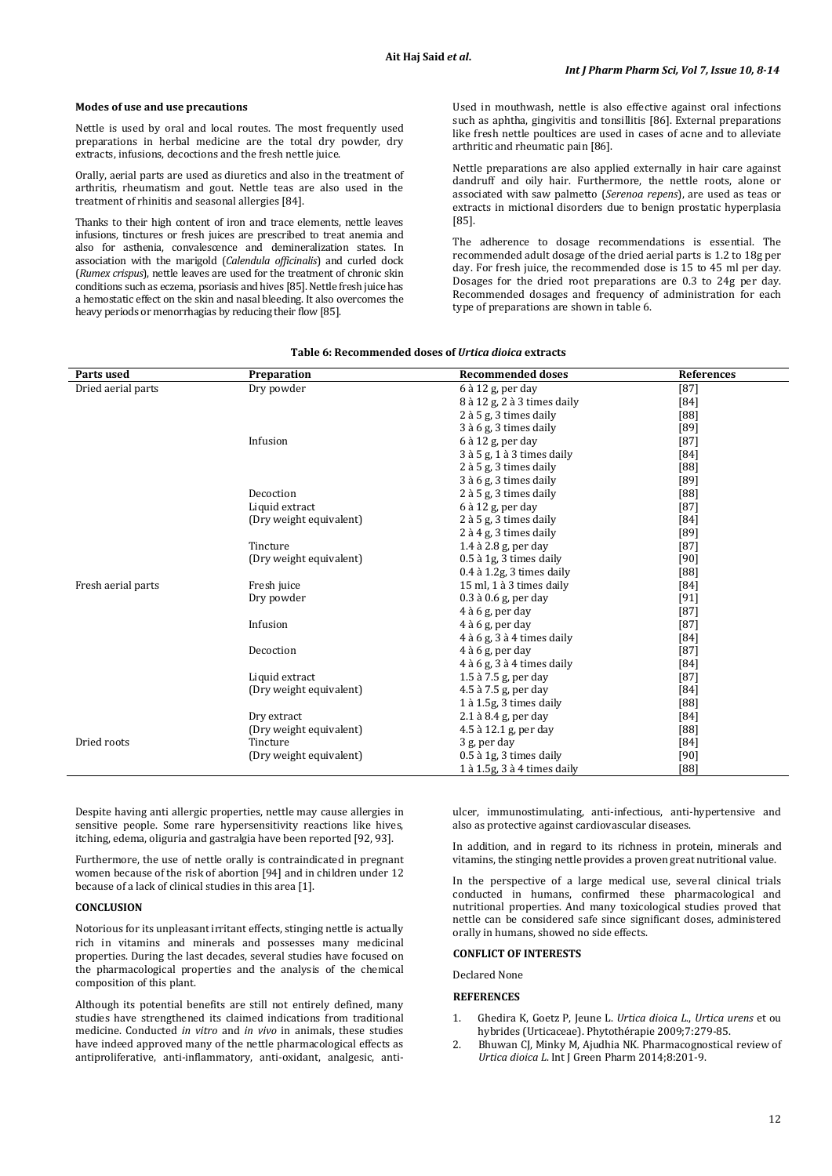#### **Modes of use and use precautions**

Nettle is used by oral and local routes. The most frequently used preparations in herbal medicine are the total dry powder, dry extracts, infusions, decoctions and the fresh nettle juice.

Orally, aerial parts are used as diuretics and also in the treatment of arthritis, rheumatism and gout. Nettle teas are also used in the treatment of rhinitis and seasonal allergies [84].

Thanks to their high content of iron and trace elements, nettle leaves infusions, tinctures or fresh juices are prescribed to treat anemia and also for asthenia, convalescence and demineralization states. In association with the marigold (*Calendula officinalis*) and curled dock (*Rumex crispus*), nettle leaves are used for the treatment of chronic skin conditions such as eczema, psoriasis and hives [85]. Nettle fresh juice has a hemostatic effect on the skin and nasal bleeding. It also overcomes the heavy periods or menorrhagias by reducing their flow [85].

Used in mouthwash, nettle is also effective against oral infections such as aphtha, gingivitis and tonsillitis [86]. External preparations like fresh nettle poultices are used in cases of acne and to alleviate arthritic and rheumatic pain [86].

Nettle preparations are also applied externally in hair care against dandruff and oily hair. Furthermore, the nettle roots, alone or associated with saw palmetto (*Serenoa repens*), are used as teas or extracts in mictional disorders due to benign prostatic hyperplasia [85].

The adherence to dosage recommendations is essential. The recommended adult dosage of the dried aerial parts is 1.2 to 18g per day. For fresh juice, the recommended dose is 15 to 45 ml per day. Dosages for the dried root preparations are 0.3 to 24g per day. Recommended dosages and frequency of administration for each type of preparations are shown in table 6.

| Parts used         | Preparation             | <b>Recommended doses</b>           | References |
|--------------------|-------------------------|------------------------------------|------------|
| Dried aerial parts | Dry powder              | 6 à 12 g, per day                  | $[87]$     |
|                    |                         | 8 à 12 g, 2 à 3 times daily        | [84]       |
|                    |                         | 2 à 5 g, 3 times daily             | $[88]$     |
|                    |                         | 3 à 6 g, 3 times daily             | [89]       |
|                    | Infusion                | 6 à 12 g, per day                  | $[87]$     |
|                    |                         | $3$ à $5$ g, $1$ à $3$ times daily | $[84]$     |
|                    |                         | 2 à 5 g, 3 times daily             | [88]       |
|                    |                         | 3 à 6 g, 3 times daily             | [89]       |
|                    | Decoction               | 2 à 5 g, 3 times daily             | [88]       |
|                    | Liquid extract          | $6$ à 12 g, per day                | $[87]$     |
|                    | (Dry weight equivalent) | 2 à 5 g, 3 times daily             | [84]       |
|                    |                         | 2 à 4 g, 3 times daily             | [89]       |
|                    | Tincture                | $1.4$ à $2.8$ g, per day           | $[87]$     |
|                    | (Dry weight equivalent) | 0.5 à 1g, 3 times daily            | $[90]$     |
|                    |                         | $0.4$ à $1.2$ g, 3 times daily     | [88]       |
| Fresh aerial parts | Fresh juice             | 15 ml, 1 à 3 times daily           | [84]       |
|                    | Dry powder              | $0.3$ à $0.6$ g, per day           | $[91]$     |
|                    |                         | $4$ à 6 g, per day                 | $[87]$     |
|                    | Infusion                | $4$ à 6 g, per day                 | $[87]$     |
|                    |                         | $4$ à 6 g, $3$ à $4$ times daily   | $[84]$     |
|                    | Decoction               | $4$ à 6 g, per day                 | $[87]$     |
|                    |                         | $4$ à 6 g, $3$ à $4$ times daily   | $[84]$     |
|                    | Liquid extract          | $1.5$ à $7.5$ g, per day           | $[87]$     |
|                    | (Dry weight equivalent) | 4.5 à 7.5 g, per day               | [84]       |
|                    |                         | 1 à 1.5g, 3 times daily            | [88]       |
|                    | Dry extract             | $2.1$ à $8.4$ g, per day           | [84]       |
|                    | (Dry weight equivalent) | 4.5 à 12.1 g, per day              | [88]       |
| Dried roots        | Tincture                | 3 g, per day                       | [84]       |
|                    | (Dry weight equivalent) | $0.5$ à 1g, 3 times daily          | $[90]$     |
|                    |                         | 1 à 1.5g, 3 à 4 times daily        | [88]       |

## **Table 6: Recommended doses of** *Urtica dioica* **extracts**

Despite having anti allergic properties, nettle may cause allergies in sensitive people. Some rare hypersensitivity reactions like hives, itching, edema, oliguria and gastralgia have been reported [92, 93].

Furthermore, the use of nettle orally is contraindicated in pregnant women because of the risk of abortion [94] and in children under 12 because of a lack of clinical studies in this area [1].

## **CONCLUSION**

Notorious for its unpleasant irritant effects, stinging nettle is actually rich in vitamins and minerals and possesses many medicinal properties. During the last decades, several studies have focused on the pharmacological properties and the analysis of the chemical composition of this plant.

Although its potential benefits are still not entirely defined, many studies have strengthened its claimed indications from traditional medicine. Conducted *in vitro* and *in vivo* in animals, these studies have indeed approved many of the nettle pharmacological effects as antiproliferative, anti-inflammatory, anti-oxidant, analgesic, antiulcer, immunostimulating, anti-infectious, anti-hypertensive and also as protective against cardiovascular diseases.

In addition, and in regard to its richness in protein, minerals and vitamins, the stinging nettle provides a proven great nutritional value.

In the perspective of a large medical use, several clinical trials conducted in humans, confirmed these pharmacological and nutritional properties. And many toxicological studies proved that nettle can be considered safe since significant doses, administered orally in humans, showed no side effects.

# **CONFLICT OF INTERESTS**

Declared None

## **REFERENCES**

- 1. Ghedira K, Goetz P, Jeune L. *Urtica dioica L*., *Urtica urens* et ou hybrides (Urticaceae). Phytothérapie 2009;7:279-85.
- 2. Bhuwan CJ, Minky M, Ajudhia NK. Pharmacognostical review of *Urtica dioica L*. Int J Green Pharm 2014;8:201-9.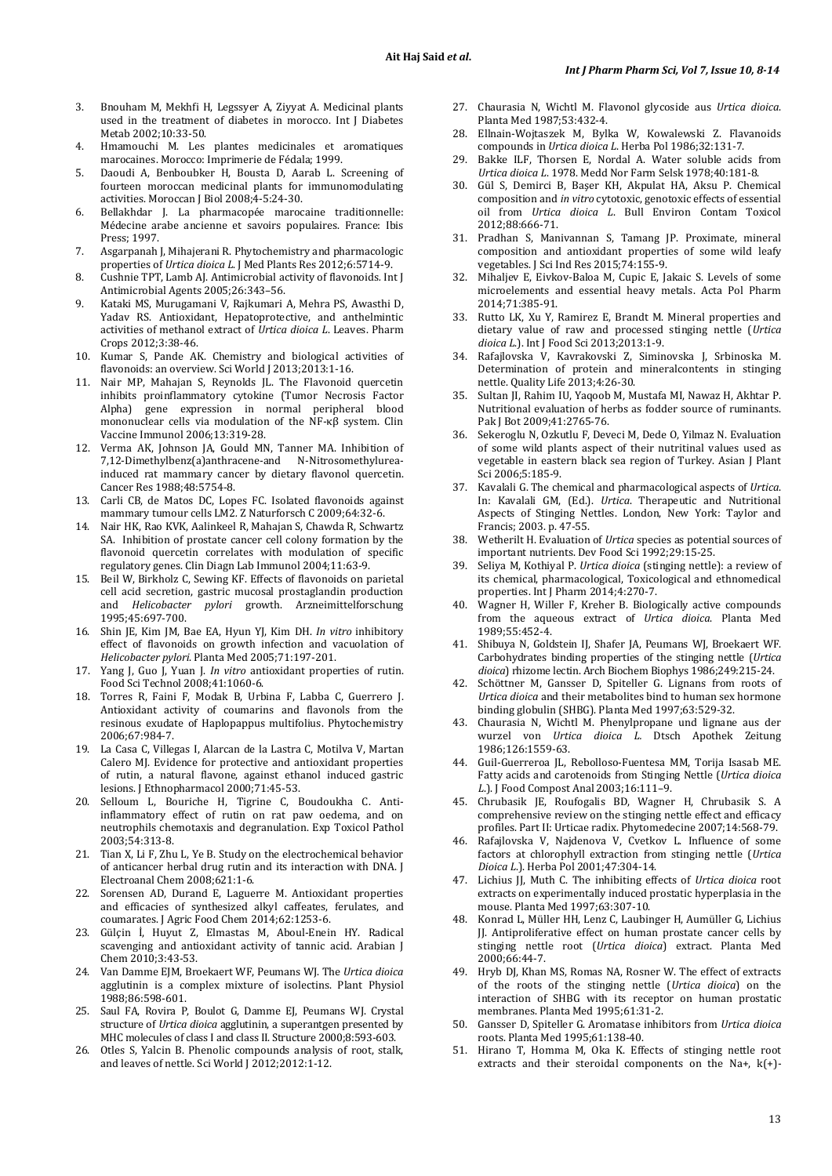- 3. Bnouham M, Mekhfi H, Legssyer A, Ziyyat A. Medicinal plants used in the treatment of diabetes in morocco. Int J Diabetes Metab 2002;10:33-50.
- 4. Hmamouchi M. Les plantes medicinales et aromatiques marocaines. Morocco: Imprimerie de Fédala; 1999.
- 5. Daoudi A, Benboubker H, Bousta D, Aarab L. Screening of fourteen moroccan medicinal plants for immunomodulating activities. Moroccan J Biol 2008;4-5:24-30.
- 6. Bellakhdar J. La pharmacopée marocaine traditionnelle: Médecine arabe ancienne et savoirs populaires. France: Ibis Press; 1997.
- 7. Asgarpanah J, Mihajerani R. Phytochemistry and pharmacologic properties of *Urtica dioica L*. J Med Plants Res 2012;6:5714-9.
- 8. Cushnie TPT, Lamb AJ. Antimicrobial activity of flavonoids*.* Int J Antimicrobial Agents 2005;26:343–56.
- 9. Kataki MS, Murugamani V, Rajkumari A, Mehra PS, Awasthi D, Yadav RS. Antioxidant, Hepatoprotective, and anthelmintic activities of methanol extract of *Urtica dioica L*. Leaves. Pharm Crops 2012;3:38-46.
- 10. Kumar S, Pande AK. Chemistry and biological activities of flavonoids: an overview. Sci World I 2013:2013:1-16.
- 11. Nair MP, Mahajan S, Reynolds JL. The Flavonoid quercetin inhibits proinflammatory cytokine (Tumor Necrosis Factor Alpha) gene expression in normal peripheral blood mononuclear cells via modulation of the NF-κβ system. Clin Vaccine Immunol 2006;13:319-28.
- 12. [Verma AK,](http://www.ncbi.nlm.nih.gov/pubmed/?term=Verma%20AK%5BAuthor%5D&cauthor=true&cauthor_uid=3139283) [Johnson JA,](http://www.ncbi.nlm.nih.gov/pubmed/?term=Johnson%20JA%5BAuthor%5D&cauthor=true&cauthor_uid=3139283) [Gould MN,](http://www.ncbi.nlm.nih.gov/pubmed/?term=Gould%20MN%5BAuthor%5D&cauthor=true&cauthor_uid=3139283) [Tanner MA.](http://www.ncbi.nlm.nih.gov/pubmed/?term=Tanner%20MA%5BAuthor%5D&cauthor=true&cauthor_uid=3139283) Inhibition of 7,12-Dimethylbenz(a)anthracene-and N-Nitrosomethylureainduced rat mammary cancer by dietary flavonol quercetin. Cancer Res 1988;48:5754-8.
- 13. Carli CB, de Matos DC, Lopes FC. Isolated flavonoids against mammary tumour cells LM2*.* [Z Naturforsch C](http://www.ncbi.nlm.nih.gov/pubmed/19323263) 2009;64:32-6.
- 14. Nair HK, Rao KVK, Aalinkeel R, Mahajan S, Chawda R, Schwartz SA. Inhibition of prostate cancer cell colony formation by the flavonoid quercetin correlates with modulation of specific regulatory genes. Clin Diagn Lab Immunol 2004;11:63-9.
- 15. Beil W, Birkholz C, Sewing KF. Effects of flavonoids on parietal cell acid secretion, gastric mucosal prostaglandin production and *Helicobacter pylori* growth. Arzneimittelforschung 1995;45:697-700.
- 16. [Shin JE,](http://www.ncbi.nlm.nih.gov/pubmed/?term=Shin%20JE%5BAuthor%5D&cauthor=true&cauthor_uid=15770537) [Kim JM,](http://www.ncbi.nlm.nih.gov/pubmed/?term=Kim%20JM%5BAuthor%5D&cauthor=true&cauthor_uid=15770537) [Bae EA,](http://www.ncbi.nlm.nih.gov/pubmed/?term=Bae%20EA%5BAuthor%5D&cauthor=true&cauthor_uid=15770537) [Hyun YJ,](http://www.ncbi.nlm.nih.gov/pubmed/?term=Hyun%20YJ%5BAuthor%5D&cauthor=true&cauthor_uid=15770537) [Kim DH.](http://www.ncbi.nlm.nih.gov/pubmed/?term=Kim%20DH%5BAuthor%5D&cauthor=true&cauthor_uid=15770537) *In vitro* inhibitory effect of flavonoids on growth infection and vacuolation of *Helicobacter pylori*. Planta Med 2005;71:197-201.
- 17. Yang J, Guo J, Yuan J. *In vitro* antioxidant properties of rutin. Food Sci Technol 2008;41:1060-6.
- 18. Torres R, Faini F, Modak B, Urbina F, Labba C, Guerrero J. Antioxidant activity of coumarins and flavonols from the resinous exudate of Haplopappus multifolius. Phytochemistry 2006;67:984-7.
- 19. La Casa C, Villegas I, Alarcan de la Lastra C, Motilva V, Martan Calero MJ. Evidence for protective and antioxidant properties of rutin, a natural flavone, against ethanol induced gastric lesions. J Ethnopharmacol 2000;71:45-53.
- 20. Selloum L, Bouriche H, Tigrine C, Boudoukha C. Antiinflammatory effect of rutin on rat paw oedema, and on neutrophils chemotaxis and degranulation. Exp Toxicol Pathol 2003;54:313-8.
- 21. Tian X, Li F, Zhu L, Ye B. Study on the electrochemical behavior of anticancer herbal drug rutin and its interaction with DNA. J Electroanal Chem 2008;621:1-6.
- 22. Sorensen AD, Durand E, Laguerre M. Antioxidant properties and efficacies of synthesized alkyl caffeates, ferulates, and coumarates. J Agric Food Chem 2014;62:1253-6.
- 23. Gülçin İ, Huyut Z, Elmastas M, Aboul-Enein HY. Radical scavenging and antioxidant activity of tannic acid. Arabian J Chem 2010;3:43-53.
- 24. Van Damme EJM, Broekaert WF, Peumans WJ. The *Urtica dioica* agglutinin is a complex mixture of isolectins. Plant Physiol 1988;86:598-601.
- 25. Saul FA, Rovira P, Boulot G, Damme EJ, Peumans WJ. Crystal structure of *Urtica dioica* agglutinin, a superantgen presented by MHC molecules of class I and class II. Structure 2000;8:593-603.
- 26. Otles S, Yalcin B. Phenolic compounds analysis of root, stalk, and leaves of nettle. Sci World J 2012;2012:1-12.
- 27. Chaurasia N, Wichtl M. Flavonol glycoside aus *Urtica dioica*. Planta Med 1987;53:432-4.
- 28. Ellnain-Wojtaszek M, Bylka W, Kowalewski Z. Flavanoids compounds in *Urtica dioica L*. Herba Pol 1986;32:131-7.
- 29. Bakke ILF, Thorsen E, Nordal A. Water soluble acids from *Urtica dioica L*. 1978. Medd Nor Farm Selsk 1978;40:181-8.
- 30. Gül S, Demirci B, Başer KH, Akpulat HA, Aksu P. Chemical composition and *in vitro* cytotoxic, genotoxic effects of essential oil from *Urtica dioica L*. Bull Environ Contam Toxicol 2012;88:666-71.
- 31. Pradhan S, Manivannan S, Tamang JP. Proximate, mineral composition and antioxidant properties of some wild leafy vegetables. J Sci Ind Res 2015;74:155-9.
- 32. Mihaljev E, Eivkov-Baloa M, Cupic E, Jakaic S. Levels of some microelements and essential heavy metals. Acta Pol Pharm 2014;71:385-91.
- 33. Rutto LK, Xu Y, Ramirez E, Brandt M. Mineral properties and dietary value of raw and processed stinging nettle (*Urtica dioica L*.). Int J Food Sci 2013;2013:1-9.
- 34. Rafajlovska V, Kavrakovski Z, Siminovska J, Srbinoska M. Determination of protein and mineralcontents in stinging nettle. Quality Life 2013;4:26-30.
- 35. Sultan JI, Rahim IU, Yaqoob M, Mustafa MI, Nawaz H, Akhtar P. Nutritional evaluation of herbs as fodder source of ruminants. Pak J Bot 2009;41:2765-76.
- 36. Sekeroglu N, Ozkutlu F, Deveci M, Dede O, Yilmaz N. Evaluation of some wild plants aspect of their nutritinal values used as vegetable in eastern black sea region of Turkey. Asian J Plant Sci 2006;5:185-9.
- 37. Kavalali G. The chemical and pharmacological aspects of *Urtica*. In: Kavalali GM, (Ed.). *Urtica*. Therapeutic and Nutritional Aspects of Stinging Nettles. London, New York: Taylor and Francis; 2003. p. 47-55.
- 38. Wetherilt H. Evaluation of *Urtica* species as potential sources of important nutrients. Dev Food Sci 1992;29:15-25.
- 39. Seliya M, Kothiyal P. *Urtica dioica* (stinging nettle): a review of its chemical, pharmacological, Toxicological and ethnomedical properties. Int J Pharm 2014;4:270-7.
- 40. Wagner H, Willer F, Kreher B. Biologically active compounds from the aqueous extract of *Urtica dioica*. Planta Med 1989;55:452-4.
- 41. Shibuya N, Goldstein IJ, Shafer JA, Peumans WJ, Broekaert WF. Carbohydrates binding properties of the stinging nettle (*Urtica dioica*) rhizome lectin. Arch Biochem Biophys 1986;249:215-24.
- 42. Schöttner M, Gansser D, Spiteller G. Lignans from roots of *Urtica dioica* and their metabolites bind to human sex hormone binding globulin (SHBG). Planta Med 1997;63:529-32.
- 43. Chaurasia N, Wichtl M. Phenylpropane und lignane aus der wurzel von *Urtica dioica L.* Dtsch Apothek Zeitung 1986;126:1559-63.
- 44. Guil-Guerreroa JL, Rebolloso-Fuentesa MM, Torija Isasab ME. Fatty acids and carotenoids from Stinging Nettle (*Urtica dioica L*.). J Food Compost Anal 2003;16:111–9.
- 45. Chrubasik JE, Roufogalis BD, Wagner H, Chrubasik S. A comprehensive review on the stinging nettle effect and efficacy profiles. Part II: Urticae radix. Phytomedecine 2007;14:568-79.
- 46. Rafajlovska V, Najdenova V, Cvetkov L. Influence of some factors at chlorophyll extraction from stinging nettle (*Urtica Dioica L*.). Herba Pol 2001;47:304-14.
- 47. Lichius JJ, Muth C. The inhibiting effects of *Urtica dioica* root extracts on experimentally induced prostatic hyperplasia in the mouse. Planta Med 1997;63:307-10.
- 48. [Konrad L,](http://www.ncbi.nlm.nih.gov/pubmed/?term=Konrad%20L%5BAuthor%5D&cauthor=true&cauthor_uid=10705733) [Müller HH,](http://www.ncbi.nlm.nih.gov/pubmed/?term=M%C3%BCller%20HH%5BAuthor%5D&cauthor=true&cauthor_uid=10705733) [Lenz C,](http://www.ncbi.nlm.nih.gov/pubmed/?term=Lenz%20C%5BAuthor%5D&cauthor=true&cauthor_uid=10705733) [Laubinger H,](http://www.ncbi.nlm.nih.gov/pubmed/?term=Laubinger%20H%5BAuthor%5D&cauthor=true&cauthor_uid=10705733) [Aumüller G,](http://www.ncbi.nlm.nih.gov/pubmed/?term=Aum%C3%BCller%20G%5BAuthor%5D&cauthor=true&cauthor_uid=10705733) [Lichius](http://www.ncbi.nlm.nih.gov/pubmed/?term=Lichius%20JJ%5BAuthor%5D&cauthor=true&cauthor_uid=10705733)  [JJ.](http://www.ncbi.nlm.nih.gov/pubmed/?term=Lichius%20JJ%5BAuthor%5D&cauthor=true&cauthor_uid=10705733) Antiproliferative effect on human prostate cancer cells by stinging nettle root (*Urtica dioica*) extract. Planta Med 2000;66:44-7.
- 49. [Hryb DJ,](http://www.ncbi.nlm.nih.gov/pubmed/?term=Hryb%20DJ%5BAuthor%5D&cauthor=true&cauthor_uid=7700987) [Khan MS,](http://www.ncbi.nlm.nih.gov/pubmed/?term=Khan%20MS%5BAuthor%5D&cauthor=true&cauthor_uid=7700987) [Romas NA,](http://www.ncbi.nlm.nih.gov/pubmed/?term=Romas%20NA%5BAuthor%5D&cauthor=true&cauthor_uid=7700987) [Rosner W.](http://www.ncbi.nlm.nih.gov/pubmed/?term=Rosner%20W%5BAuthor%5D&cauthor=true&cauthor_uid=7700987) The effect of extracts of the roots of the stinging nettle (*Urtica dioica*) on the interaction of SHBG with its receptor on human prostatic membranes. Planta Med 1995;61:31-2.
- 50. Gansser D[, Spiteller G.](http://www.ncbi.nlm.nih.gov/pubmed/?term=Spiteller%20G%5BAuthor%5D&cauthor=true&cauthor_uid=17238068) Aromatase inhibitors from *Urtica dioica* roots. Planta Med 1995;61:138-40.
- 51. [Hirano T,](http://www.ncbi.nlm.nih.gov/pubmed/?term=Hirano%20T%5BAuthor%5D&cauthor=true&cauthor_uid=7510891) [Homma M,](http://www.ncbi.nlm.nih.gov/pubmed/?term=Homma%20M%5BAuthor%5D&cauthor=true&cauthor_uid=7510891) [Oka K.](http://www.ncbi.nlm.nih.gov/pubmed/?term=Oka%20K%5BAuthor%5D&cauthor=true&cauthor_uid=7510891) Effects of stinging nettle root extracts and their steroidal components on the Na+, k(+)-